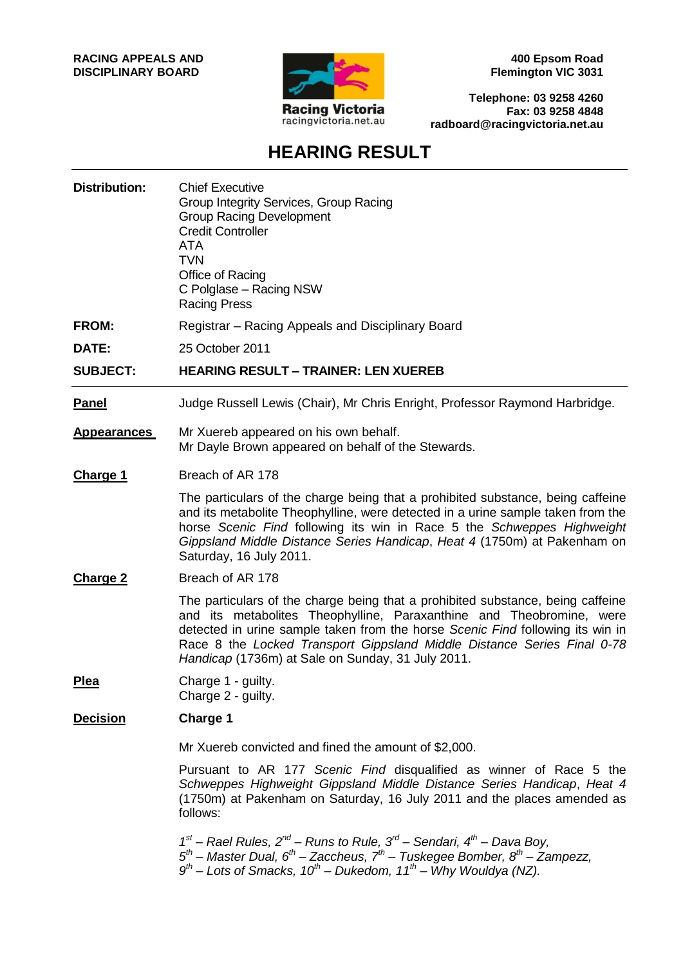

**400 Epsom Road Flemington VIC 3031**

**Telephone: 03 9258 4260 Fax: 03 9258 4848 radboard@racingvictoria.net.au**

# **HEARING RESULT**

| <b>Distribution:</b> | <b>Chief Executive</b><br>Group Integrity Services, Group Racing<br><b>Group Racing Development</b><br><b>Credit Controller</b><br>ATA<br><b>TVN</b><br>Office of Racing<br>C Polglase - Racing NSW<br><b>Racing Press</b>                                                                                                                                                |
|----------------------|---------------------------------------------------------------------------------------------------------------------------------------------------------------------------------------------------------------------------------------------------------------------------------------------------------------------------------------------------------------------------|
| <b>FROM:</b>         | Registrar – Racing Appeals and Disciplinary Board                                                                                                                                                                                                                                                                                                                         |
| DATE:                | 25 October 2011                                                                                                                                                                                                                                                                                                                                                           |
| <b>SUBJECT:</b>      | <b>HEARING RESULT - TRAINER: LEN XUEREB</b>                                                                                                                                                                                                                                                                                                                               |
| <b>Panel</b>         | Judge Russell Lewis (Chair), Mr Chris Enright, Professor Raymond Harbridge.                                                                                                                                                                                                                                                                                               |
| <b>Appearances</b>   | Mr Xuereb appeared on his own behalf.<br>Mr Dayle Brown appeared on behalf of the Stewards.                                                                                                                                                                                                                                                                               |
| <b>Charge 1</b>      | Breach of AR 178                                                                                                                                                                                                                                                                                                                                                          |
|                      | The particulars of the charge being that a prohibited substance, being caffeine<br>and its metabolite Theophylline, were detected in a urine sample taken from the<br>horse Scenic Find following its win in Race 5 the Schweppes Highweight<br>Gippsland Middle Distance Series Handicap, Heat 4 (1750m) at Pakenham on<br>Saturday, 16 July 2011.                       |
| <b>Charge 2</b>      | Breach of AR 178                                                                                                                                                                                                                                                                                                                                                          |
|                      | The particulars of the charge being that a prohibited substance, being caffeine<br>and its metabolites Theophylline, Paraxanthine and Theobromine, were<br>detected in urine sample taken from the horse Scenic Find following its win in<br>Race 8 the Locked Transport Gippsland Middle Distance Series Final 0-78<br>Handicap (1736m) at Sale on Sunday, 31 July 2011. |
| Plea                 | Charge 1 - guilty.<br>Charge 2 - guilty.                                                                                                                                                                                                                                                                                                                                  |
| <b>Decision</b>      | <b>Charge 1</b>                                                                                                                                                                                                                                                                                                                                                           |
|                      | Mr Xuereb convicted and fined the amount of \$2,000.                                                                                                                                                                                                                                                                                                                      |
|                      | Pursuant to AR 177 Scenic Find disqualified as winner of Race 5 the<br>Schweppes Highweight Gippsland Middle Distance Series Handicap, Heat 4<br>(1750m) at Pakenham on Saturday, 16 July 2011 and the places amended as<br>follows:                                                                                                                                      |
|                      | $1^{st}$ – Rael Rules, $2^{nd}$ – Runs to Rule, $3^{rd}$ – Sendari, $4^{th}$ – Dava Boy,<br>$5th$ – Master Dual, 6 <sup>th</sup> – Zaccheus, 7 <sup>th</sup> – Tuskegee Bomber, 8 <sup>th</sup> – Zampezz,<br>$9th$ – Lots of Smacks, 10 <sup>th</sup> – Dukedom, 11 <sup>th</sup> – Why Wouldya (NZ).                                                                    |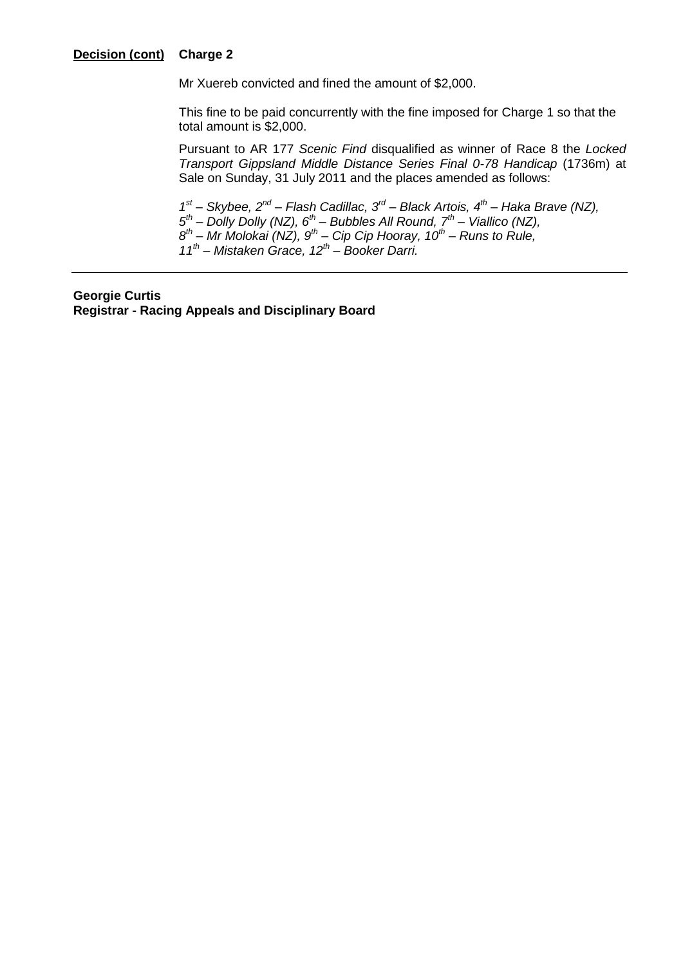#### **Decision (cont) Charge 2**

Mr Xuereb convicted and fined the amount of \$2,000.

 This fine to be paid concurrently with the fine imposed for Charge 1 so that the total amount is \$2,000.

Pursuant to AR 177 *Scenic Find* disqualified as winner of Race 8 the *Locked Transport Gippsland Middle Distance Series Final 0-78 Handicap* (1736m) at Sale on Sunday, 31 July 2011 and the places amended as follows:

 *st – Skybee, 2nd – Flash Cadillac, 3rd – Black Artois, 4th – Haka Brave (NZ), th – Dolly Dolly (NZ), 6th – Bubbles All Round, 7th – Viallico (NZ), th – Mr Molokai (NZ), 9th – Cip Cip Hooray, 10th – Runs to Rule, th – Mistaken Grace, 12th – Booker Darri.* 

#### **Georgie Curtis**

**Registrar - Racing Appeals and Disciplinary Board**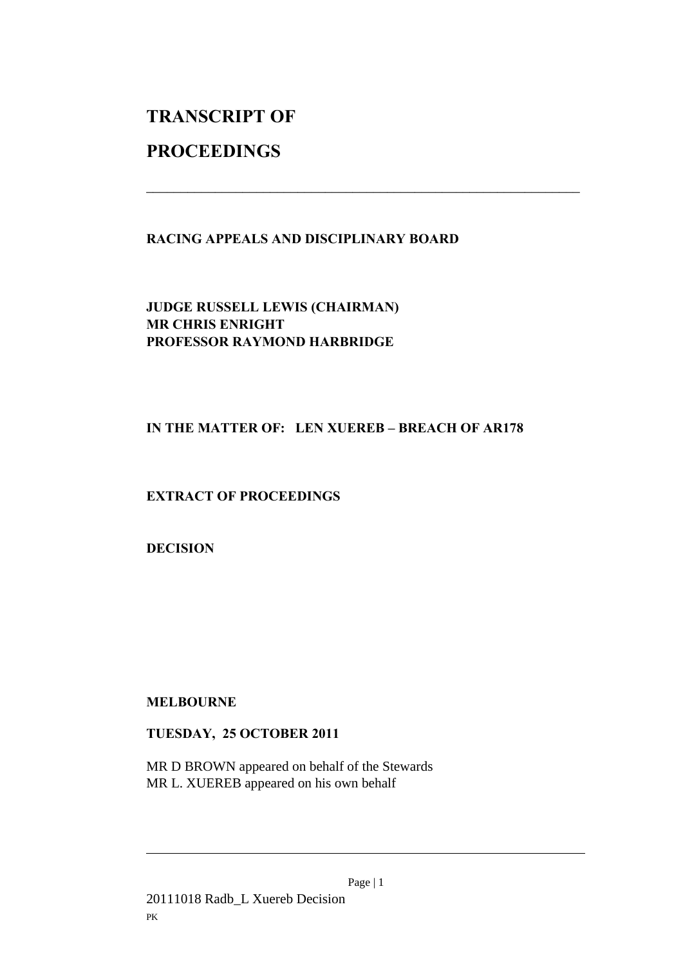## **TRANSCRIPT OF**

## **PROCEEDINGS**

### **RACING APPEALS AND DISCIPLINARY BOARD**

\_\_\_\_\_\_\_\_\_\_\_\_\_\_\_\_\_\_\_\_\_\_\_\_\_\_\_\_\_\_\_\_\_\_\_\_\_\_\_\_\_\_\_\_\_\_\_\_\_\_\_\_\_\_\_\_\_\_\_\_\_\_\_

**JUDGE RUSSELL LEWIS (CHAIRMAN) MR CHRIS ENRIGHT PROFESSOR RAYMOND HARBRIDGE** 

### IN THE MATTER OF: LEN XUEREB - BREACH OF AR178

## **EXTRACT OF PROCEEDINGS**

**DECISION** 

**MELBOURNE** 

### **TUESDAY, 25 OCTOBER 2011**

MR D BROWN appeared on behalf of the Stewards MR L. XUEREB appeared on his own behalf

Page | 1